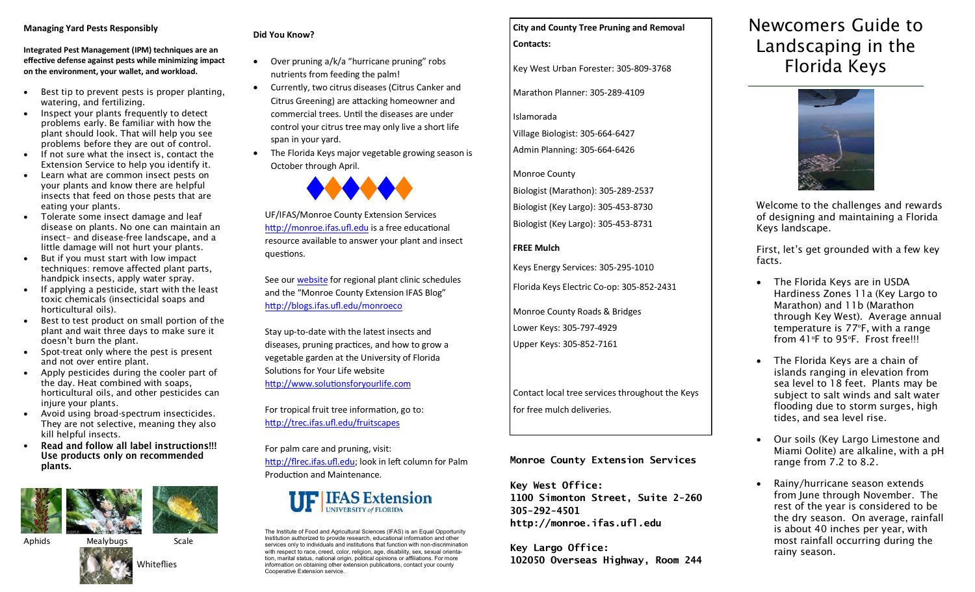#### **Managing Yard Pests Responsibly**

**Integrated Pest Management (IPM) techniques are an effective defense against pests while minimizing impact on the environment, your wallet, and workload.**

- Best tip to prevent pests is proper planting, watering, and fertilizing.
- Inspect your plants frequently to detect problems early. Be familiar with how the plant should look. That will help you see problems before they are out of control.
- If not sure what the insect is, contact the Extension Service to help you identify it.
- Learn what are common insect pests on your plants and know there are helpful insects that feed on those pests that are eating your plants.
- Tolerate some insect damage and leaf disease on plants. No one can maintain an insect– and disease-free landscape, and a little damage will not hurt your plants.
- But if you must start with low impact techniques: remove affected plant parts, handpick insects, apply water spray.
- If applying a pesticide, start with the least toxic chemicals (insecticidal soaps and horticultural oils).
- Best to test product on small portion of the plant and wait three days to make sure it doesn't burn the plant.
- Spot-treat only where the pest is present and not over entire plant.
- Apply pesticides during the cooler part of the day. Heat combined with soaps, horticultural oils, and other pesticides can injure your plants.
- Avoid using broad-spectrum insecticides. They are not selective, meaning they also kill helpful insects.
- Read and follow all label instructions!!!  $\bullet$ Use products only on recommended plants.



#### Aphids Mealybugs Scale



### **Did You Know?**

- Over pruning a/k/a "hurricane pruning" robs nutrients from feeding the palm!
- Currently, two citrus diseases (Citrus Canker and Citrus Greening) are attacking homeowner and commercial trees. Until the diseases are under control your citrus tree may only live a short life span in your yard.
- The Florida Keys major vegetable growing season is October through April.



UF/IFAS/Monroe County Extension Services <http://monroe.ifas.ufl.edu> is a free educational resource available to answer your plant and insect questions.

See our [website](http://monroe.ifas.ufl.edu) for regional plant clinic schedules and the "Monroe County Extension IFAS Blog" [http://blogs.ifas.ufl.edu/monroeco](http://blogs.ifas.ufl.edu/monroeco/) 

Stay up-to-date with the latest insects and diseases, pruning practices, and how to grow a vegetable garden at the University of Florida Solutions for Your Life website <http://www.solutionsforyourlife.com>

For tropical fruit tree information, go to: <http://trec.ifas.ufl.edu/fruitscapes>

For palm care and pruning, visit: [http://flrec.ifas.ufl.edu;](http://flrec.ifas.ufl.edu/) look in left column for Palm Production and Maintenance.



The Institute of Food and Agricultural Sciences (IFAS) is an Equal Opportunity Institution authorized to provide research, educational information and other services only to individuals and institutions that function with non-discrimination with respect to race, creed, color, religion, age, disability, sex, sexual orientation, marital status, national origin, political opinions or affiliations. For more information on obtaining other extension publications, contact your county Cooperative Extension service.

# **City and County Tree Pruning and Removal**

**Contacts:**

Key West Urban Forester: 305-809-3768

Marathon Planner: 305-289-4109

Islamorada

Village Biologist: 305-664-6427 Admin Planning: 305-664-6426

## Monroe County

Biologist (Marathon): 305-289-2537

Biologist (Key Largo): 305-453-8730

Biologist (Key Largo): 305-453-8731

## **FREE Mulch**

Keys Energy Services: 305-295-1010

Florida Keys Electric Co-op: 305-852-2431

Monroe County Roads & Bridges Lower Keys: 305-797-4929 Upper Keys: 305-852-7161

Contact local tree services throughout the Keys for free mulch deliveries.

## **Monroe County Extension Services**

**Key West Office: 1100 Simonton Street, Suite 2-260 305-292-4501 http://monroe.ifas.ufl.edu**

**Key Largo Office: 102050 Overseas Highway, Room 244**

## Newcomers Guide to Landscaping in the Florida Keys



Welcome to the challenges and rewards of designing and maintaining a Florida Keys landscape.

First, let's get grounded with a few key facts.

- The Florida Keys are in USDA Hardiness Zones 11a (Key Largo to Marathon) and 11b (Marathon through Key West). Average annual temperature is 77°F, with a range from 41°F to 95°F. Frost free!!!
- The Florida Keys are a chain of islands ranging in elevation from sea level to 18 feet. Plants may be subject to salt winds and salt water flooding due to storm surges, high tides, and sea level rise.
- Our soils (Key Largo Limestone and Miami Oolite) are alkaline, with a pH range from 7.2 to 8.2.
- Rainy/hurricane season extends from June through November. The rest of the year is considered to be the dry season. On average, rainfall is about 40 inches per year, with most rainfall occurring during the rainy season.